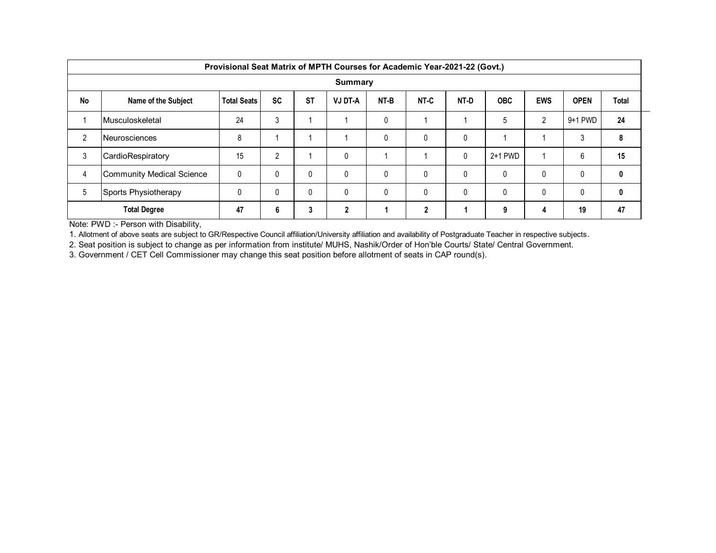|           | Provisional Seat Matrix of MPTH Courses for Academic Year-2021-22 (Govt.) |                    |           |           |                |      |                |              |            |            |             |       |  |  |
|-----------|---------------------------------------------------------------------------|--------------------|-----------|-----------|----------------|------|----------------|--------------|------------|------------|-------------|-------|--|--|
|           | Summary                                                                   |                    |           |           |                |      |                |              |            |            |             |       |  |  |
| <b>No</b> | Name of the Subject                                                       | <b>Total Seats</b> | <b>SC</b> | <b>ST</b> | <b>VJ DT-A</b> | NT-B | NT-C           | NT-D         | <b>OBC</b> | <b>EWS</b> | <b>OPEN</b> | Total |  |  |
|           | Musculoskeletal                                                           | 24                 | 3         |           |                | 0    |                |              | 5          | 2          | $9+1$ PWD   | 24    |  |  |
| 2         | <b>Neurosciences</b>                                                      | 8                  |           |           |                | 0    | 0              | $\mathbf{0}$ |            |            | 3           | 8     |  |  |
| 3         | CardioRespiratory                                                         | 15                 | C         |           | 0              |      |                | $\mathbf{0}$ | 2+1 PWD    |            | 6           | 15    |  |  |
| 4         | <b>Community Medical Science</b>                                          | 0                  | 0         | 0         | 0              | 0    | $\Omega$       | $\mathbf{0}$ | 0          | 0          | 0           | 0     |  |  |
| 5         | Sports Physiotherapy                                                      | 0                  | 0         | 0         | 0              | 0    | $\Omega$       | $\Omega$     | 0          | 0          | 0           | 0     |  |  |
|           | <b>Total Degree</b>                                                       | 47                 | 6         | 3         | 2              |      | $\overline{2}$ |              | 9          | 4          | 19          | 47    |  |  |

Note: PWD :- Person with Disability,

1. Allotment of above seats are subject to GR/Respective Council affiliation/University affiliation and availability of Postgraduate Teacher in respective subjects.

2. Seat position is subject to change as per information from institute/ MUHS, Nashik/Order of Hon'ble Courts/ State/ Central Government.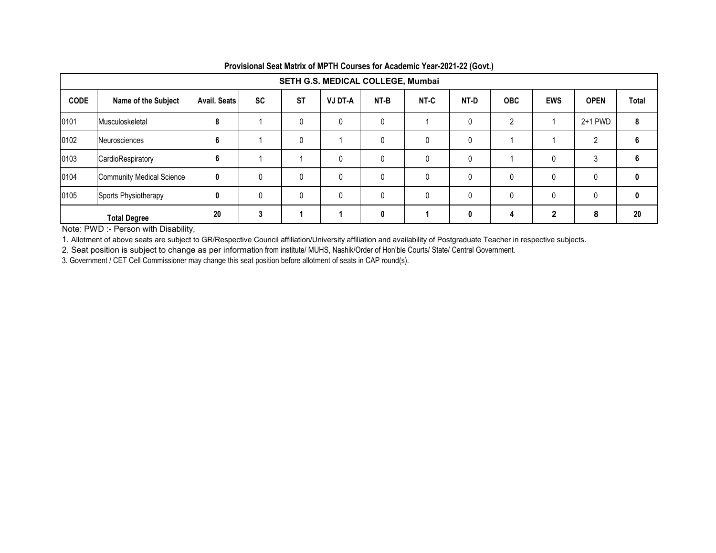|             | SETH G.S. MEDICAL COLLEGE, Mumbai |                     |    |           |                |      |              |              |              |              |             |              |  |
|-------------|-----------------------------------|---------------------|----|-----------|----------------|------|--------------|--------------|--------------|--------------|-------------|--------------|--|
| <b>CODE</b> | Name of the Subject               | <b>Avail. Seats</b> | SC | <b>ST</b> | <b>VJ DT-A</b> | NT-B | NT-C         | NT-D         | <b>OBC</b>   | <b>EWS</b>   | <b>OPEN</b> | <b>Total</b> |  |
| 0101        | Musculoskeletal                   | 8                   |    | 0         | 0              | 0    |              | $\mathbf{0}$ | 2            |              | 2+1 PWD     | 8            |  |
| 0102        | Neurosciences                     | 6                   |    | 0         |                | 0    |              | 0            |              |              |             | 6            |  |
| 0103        | CardioRespiratory                 | 6                   |    |           | 0              | 0    | $\Omega$     | $\mathbf{0}$ |              | $\Omega$     |             | 6            |  |
| 0104        | <b>Community Medical Science</b>  | $\mathbf{0}$        | 0  | 0         | 0              | 0    | 0            | 0            | $\mathbf{0}$ | 0            |             | 0            |  |
| 0105        | Sports Physiotherapy              | 0                   | 0  | 0         | 0              | 0    | <sup>0</sup> | $\mathbf{0}$ | 0            | $\mathbf{0}$ |             | 0            |  |
|             | <b>Total Degree</b>               | 20                  | 3  |           |                | 0    |              | 0            | 4            | $\mathbf{2}$ | 8           | 20           |  |

**Provisional Seat Matrix of MPTH Courses for Academic Year-2021-22 (Govt.)**

Note: PWD :- Person with Disability,

1. Allotment of above seats are subject to GR/Respective Council affiliation/University affiliation and availability of Postgraduate Teacher in respective subjects.

2. Seat position is subject to change as per information from institute/ MUHS, Nashik/Order of Hon'ble Courts/ State/ Central Government.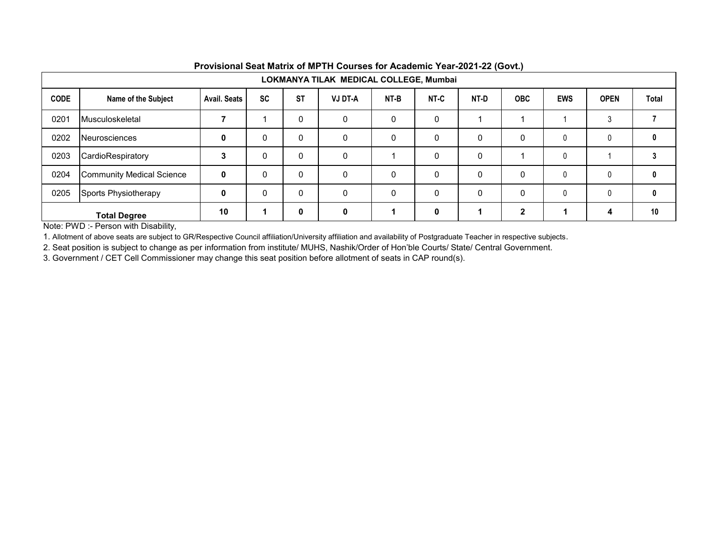|             | LOKMANYA TILAK MEDICAL COLLEGE, Mumbai |                     |           |             |                |      |              |      |              |            |             |       |  |
|-------------|----------------------------------------|---------------------|-----------|-------------|----------------|------|--------------|------|--------------|------------|-------------|-------|--|
| <b>CODE</b> | Name of the Subject                    | <b>Avail, Seats</b> | <b>SC</b> | <b>ST</b>   | <b>VJ DT-A</b> | NT-B | NT-C         | NT-D | <b>OBC</b>   | <b>EWS</b> | <b>OPEN</b> | Total |  |
| 0201        | Musculoskeletal                        |                     |           | 0           | $\Omega$       | 0    | 0            |      |              |            | 3           |       |  |
| 0202        | Neurosciences                          | 0                   | 0         | 0           | $\Omega$       | 0    | 0            | 0    | 0            | 0          |             | 0     |  |
| 0203        | CardioRespiratory                      | 3                   | 0         | 0           | $\Omega$       |      | 0            | 0    |              | 0          |             |       |  |
| 0204        | <b>Community Medical Science</b>       | $\mathbf{0}$        | 0         | 0           | $\Omega$       | 0    | 0            | 0    | 0            | 0          |             |       |  |
| 0205        | Sports Physiotherapy                   | $\mathbf 0$         | 0         | $\mathbf 0$ | $\Omega$       | 0    | 0            | 0    | 0            | 0          |             |       |  |
|             | <b>Total Degree</b>                    | 10                  | 1         | 0           | $\mathbf{0}$   |      | $\mathbf{0}$ |      | $\mathbf{2}$ |            | 4           | 10    |  |

Note: PWD :- Person with Disability,

1. Allotment of above seats are subject to GR/Respective Council affiliation/University affiliation and availability of Postgraduate Teacher in respective subjects.

2. Seat position is subject to change as per information from institute/ MUHS, Nashik/Order of Hon'ble Courts/ State/ Central Government.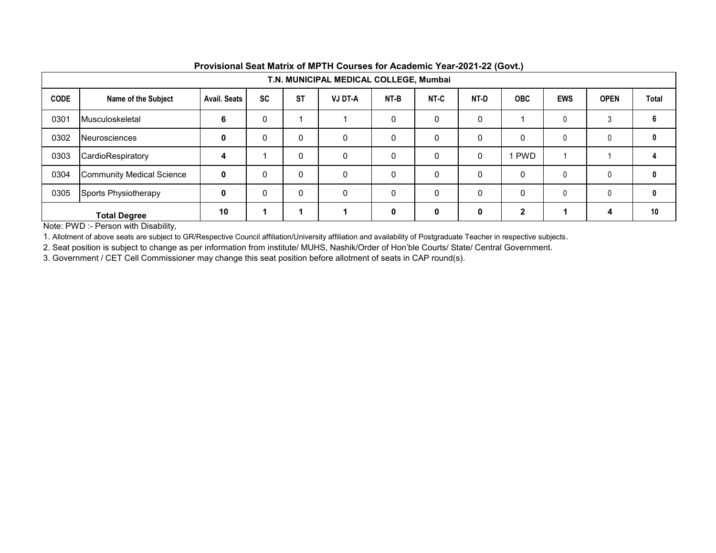|             | T.N. MUNICIPAL MEDICAL COLLEGE, Mumbai |                     |           |             |                |              |             |              |              |              |              |       |  |
|-------------|----------------------------------------|---------------------|-----------|-------------|----------------|--------------|-------------|--------------|--------------|--------------|--------------|-------|--|
| <b>CODE</b> | Name of the Subject                    | <b>Avail, Seats</b> | <b>SC</b> | <b>ST</b>   | <b>VJ DT-A</b> | NT-B         | NT-C        | NT-D         | <b>OBC</b>   | <b>EWS</b>   | <b>OPEN</b>  | Total |  |
| 0301        | Musculoskeletal                        | 6                   | 0         |             |                | 0            | 0           | $\mathbf{0}$ |              | $\mathbf{0}$ | 3            | 6     |  |
| 0302        | Neurosciences                          | 0                   | 0         | 0           | $\Omega$       | $\mathbf{0}$ | 0           | $\mathbf{0}$ | $\Omega$     | $\mathbf{0}$ | $\mathbf{0}$ | 0     |  |
| 0303        | CardioRespiratory                      | 4                   |           | 0           | $\Omega$       | 0            | 0           | 0            | <b>PWD</b>   |              |              |       |  |
| 0304        | Community Medical Science              | $\mathbf{0}$        | 0         | $\Omega$    | $\Omega$       | $\mathbf{0}$ | 0           | $\mathbf{0}$ | $\mathbf{0}$ | 0            | $\Omega$     | 0     |  |
| 0305        | Sports Physiotherapy                   | 0                   | 0         | $\mathbf 0$ | $\Omega$       | 0            | 0           | 0            | $\mathbf 0$  | 0            | $\mathbf{0}$ | 0     |  |
|             | <b>Total Degree</b>                    | 10                  | 1         |             |                | 0            | $\mathbf 0$ | 0            | $\mathbf{2}$ |              | 4            | 10    |  |

Note: PWD :- Person with Disability,

1. Allotment of above seats are subject to GR/Respective Council affiliation/University affiliation and availability of Postgraduate Teacher in respective subjects.

2. Seat position is subject to change as per information from institute/ MUHS, Nashik/Order of Hon'ble Courts/ State/ Central Government.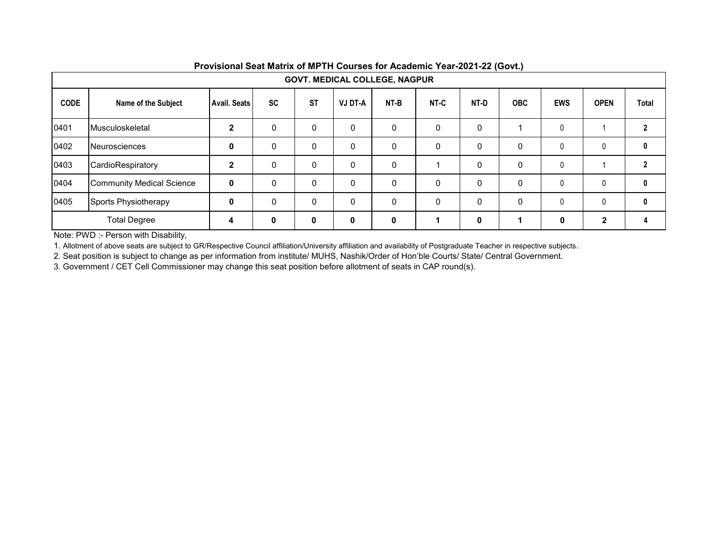|             | <b>GOVT. MEDICAL COLLEGE, NAGPUR</b> |                     |           |             |                |          |          |      |            |            |              |       |  |
|-------------|--------------------------------------|---------------------|-----------|-------------|----------------|----------|----------|------|------------|------------|--------------|-------|--|
| <b>CODE</b> | Name of the Subject                  | <b>Avail. Seats</b> | <b>SC</b> | <b>ST</b>   | <b>VJ DT-A</b> | NT-B     | NT-C     | NT-D | <b>OBC</b> | <b>EWS</b> | <b>OPEN</b>  | Total |  |
| 0401        | Musculoskeletal                      | 2                   | 0         | 0           | 0              | 0        | $\Omega$ | 0    |            | 0          |              |       |  |
| 0402        | <b>Neurosciences</b>                 | 0                   | 0         | $\Omega$    | 0              | $\Omega$ | $\Omega$ | 0    | $\Omega$   | 0          | $\Omega$     | 0     |  |
| 0403        | CardioRespiratory                    | $\mathbf{2}$        | 0         | $\Omega$    | 0              | $\Omega$ |          | 0    | $\Omega$   | 0          |              |       |  |
| 0404        | <b>Community Medical Science</b>     | $\mathbf{0}$        | 0         | $\mathbf 0$ | 0              | 0        | $\Omega$ | 0    | $\Omega$   | 0          | $\Omega$     | 0     |  |
| 0405        | Sports Physiotherapy                 | 0                   | $\Omega$  | $\Omega$    | 0              | $\Omega$ | $\Omega$ | 0    | $\Omega$   | 0          |              | 0     |  |
|             | <b>Total Degree</b>                  | 4                   | 0         | 0           | 0              | 0        |          | 0    |            | 0          | $\mathbf{2}$ |       |  |

Note: PWD :- Person with Disability,

1. Allotment of above seats are subject to GR/Respective Council affiliation/University affiliation and availability of Postgraduate Teacher in respective subjects.

2. Seat position is subject to change as per information from institute/ MUHS, Nashik/Order of Hon'ble Courts/ State/ Central Government.